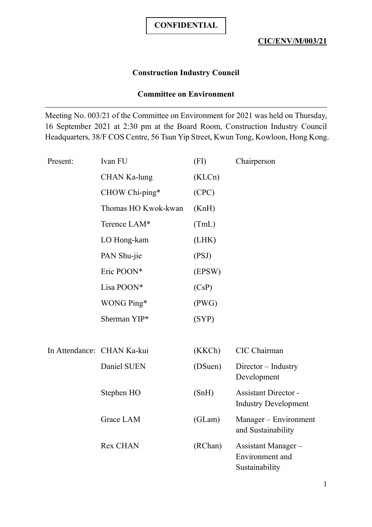### **Construction Industry Council**

### **Committee on Environment**

Meeting No. 003/21 of the Committee on Environment for 2021 was held on Thursday, 16 September 2021 at 2:30 pm at the Board Room, Construction Industry Council Headquarters, 38/F COS Centre, 56 Tsun Yip Street, Kwun Tong, Kowloon, Hong Kong.

| Present: | Ivan FU                    | (FI)    | Chairperson                                                |
|----------|----------------------------|---------|------------------------------------------------------------|
|          | CHAN Ka-lung               | (KLCn)  |                                                            |
|          | CHOW Chi-ping*             | (CPC)   |                                                            |
|          | Thomas HO Kwok-kwan        | (KnH)   |                                                            |
|          | Terence LAM*               | (TmL)   |                                                            |
|          | LO Hong-kam                | (LHK)   |                                                            |
|          | PAN Shu-jie                | (PSJ)   |                                                            |
|          | Eric POON*                 | (EPSW)  |                                                            |
|          | Lisa POON*                 | (CsP)   |                                                            |
|          | WONG Ping*                 | (PWG)   |                                                            |
|          | Sherman YIP*               | (SYP)   |                                                            |
|          |                            |         |                                                            |
|          | In Attendance: CHAN Ka-kui | (KKCh)  | CIC Chairman                                               |
|          | Daniel SUEN                | (DSuen) | Director - Industry<br>Development                         |
|          | Stephen HO                 | (SnH)   | <b>Assistant Director -</b><br><b>Industry Development</b> |
|          | Grace LAM                  | (GLam)  | Manager - Environment<br>and Sustainability                |
|          | Rex CHAN                   | (RChan) | Assistant Manager-<br>Environment and<br>Sustainability    |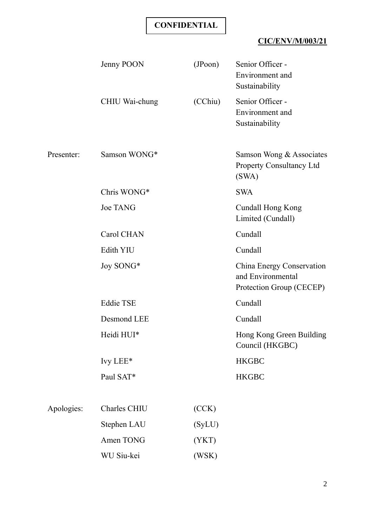# **CONFIDENTIAL**

# **CIC/ENV/M/003/21**

|            | Jenny POON       | $($ J $P$ oon $)$ | Senior Officer -<br>Environment and<br>Sustainability                      |
|------------|------------------|-------------------|----------------------------------------------------------------------------|
|            | CHIU Wai-chung   | (CChiu)           | Senior Officer -<br>Environment and<br>Sustainability                      |
| Presenter: | Samson WONG*     |                   | Samson Wong & Associates<br>Property Consultancy Ltd<br>(SWA)              |
|            | Chris WONG*      |                   | <b>SWA</b>                                                                 |
|            | <b>Joe TANG</b>  |                   | <b>Cundall Hong Kong</b><br>Limited (Cundall)                              |
|            | Carol CHAN       |                   | Cundall                                                                    |
|            | Edith YIU        |                   | Cundall                                                                    |
|            | Joy SONG*        |                   | China Energy Conservation<br>and Environmental<br>Protection Group (CECEP) |
|            | <b>Eddie TSE</b> |                   | Cundall                                                                    |
|            | Desmond LEE      |                   | Cundall                                                                    |
|            | Heidi HUI*       |                   | Hong Kong Green Building<br>Council (HKGBC)                                |
|            | Ivy LEE*         |                   | <b>HKGBC</b>                                                               |
|            | Paul SAT*        |                   | <b>HKGBC</b>                                                               |
| Apologies: | Charles CHIU     | (CCK)             |                                                                            |
|            | Stephen LAU      | (SyLU)            |                                                                            |
|            | Amen TONG        | (YKT)             |                                                                            |
|            | WU Siu-kei       | (WSK)             |                                                                            |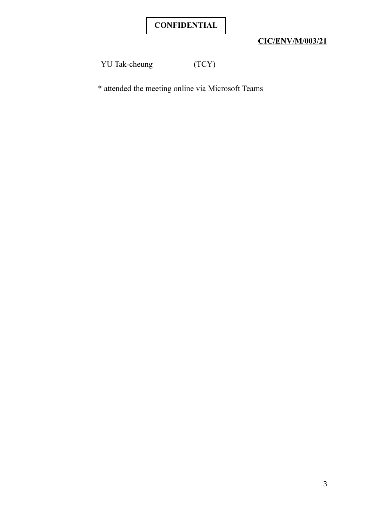# **CONFIDENTIAL**

# **CIC/ENV/M/003/21**

YU Tak-cheung (TCY)

\* attended the meeting online via Microsoft Teams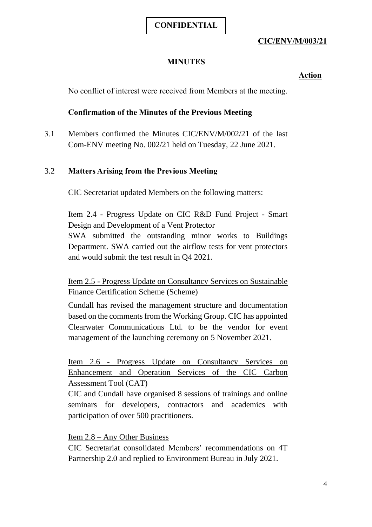# **CIC/ENV/M/003/21**

# **MINUTES**

#### **Action**

No conflict of interest were received from Members at the meeting.

### **Confirmation of the Minutes of the Previous Meeting**

3.1 Members confirmed the Minutes CIC/ENV/M/002/21 of the last Com-ENV meeting No. 002/21 held on Tuesday, 22 June 2021.

### 3.2 **Matters Arising from the Previous Meeting**

CIC Secretariat updated Members on the following matters:

Item 2.4 - Progress Update on CIC R&D Fund Project - Smart Design and Development of a Vent Protector

SWA submitted the outstanding minor works to Buildings Department. SWA carried out the airflow tests for vent protectors and would submit the test result in Q4 2021.

Item 2.5 - Progress Update on Consultancy Services on Sustainable Finance Certification Scheme (Scheme)

Cundall has revised the management structure and documentation based on the comments from the Working Group. CIC has appointed Clearwater Communications Ltd. to be the vendor for event management of the launching ceremony on 5 November 2021.

Item 2.6 - Progress Update on Consultancy Services on Enhancement and Operation Services of the CIC Carbon Assessment Tool (CAT)

CIC and Cundall have organised 8 sessions of trainings and online seminars for developers, contractors and academics with participation of over 500 practitioners.

Item 2.8 – Any Other Business

CIC Secretariat consolidated Members' recommendations on 4T Partnership 2.0 and replied to Environment Bureau in July 2021.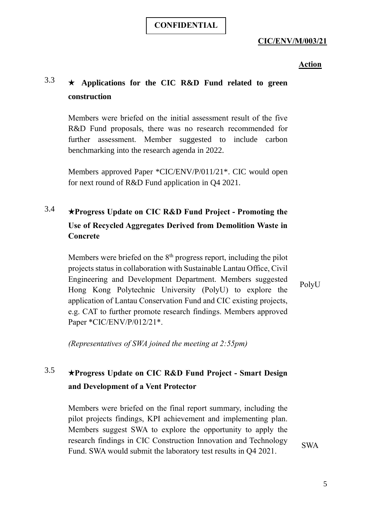### **CIC/ENV/M/003/21**

### **Action**

# 3.3 ★ **Applications for the CIC R&D Fund related to green construction**

Members were briefed on the initial assessment result of the five R&D Fund proposals, there was no research recommended for further assessment. Member suggested to include carbon benchmarking into the research agenda in 2022.

Members approved Paper \*CIC/ENV/P/011/21\*. CIC would open for next round of R&D Fund application in Q4 2021.

# 3.4 ★**Progress Update on CIC R&D Fund Project - Promoting the Use of Recycled Aggregates Derived from Demolition Waste in Concrete**

Members were briefed on the  $8<sup>th</sup>$  progress report, including the pilot projects status in collaboration with Sustainable Lantau Office, Civil Engineering and Development Department. Members suggested Hong Kong Polytechnic University (PolyU) to explore the application of Lantau Conservation Fund and CIC existing projects, e.g. CAT to further promote research findings. Members approved Paper \*CIC/ENV/P/012/21\*.

PolyU

*(Representatives of SWA joined the meeting at 2:55pm)*

# 3.5 ★**Progress Update on CIC R&D Fund Project - Smart Design and Development of a Vent Protector**

Members were briefed on the final report summary, including the pilot projects findings, KPI achievement and implementing plan. Members suggest SWA to explore the opportunity to apply the research findings in CIC Construction Innovation and Technology Fund. SWA would submit the laboratory test results in O4 2021.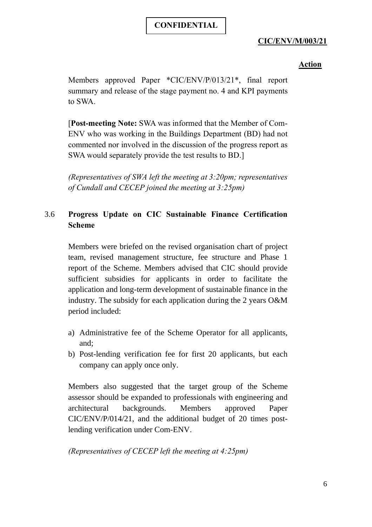# **CONFIDENTIAL**

## **CIC/ENV/M/003/21**

### **Action**

Members approved Paper \*CIC/ENV/P/013/21\*, final report summary and release of the stage payment no. 4 and KPI payments to SWA.

[**Post-meeting Note:** SWA was informed that the Member of Com-ENV who was working in the Buildings Department (BD) had not commented nor involved in the discussion of the progress report as SWA would separately provide the test results to BD.]

*(Representatives of SWA left the meeting at 3:20pm; representatives of Cundall and CECEP joined the meeting at 3:25pm)*

# 3.6 **Progress Update on CIC Sustainable Finance Certification Scheme**

Members were briefed on the revised organisation chart of project team, revised management structure, fee structure and Phase 1 report of the Scheme. Members advised that CIC should provide sufficient subsidies for applicants in order to facilitate the application and long-term development of sustainable finance in the industry. The subsidy for each application during the 2 years O&M period included:

- a) Administrative fee of the Scheme Operator for all applicants, and;
- b) Post-lending verification fee for first 20 applicants, but each company can apply once only.

Members also suggested that the target group of the Scheme assessor should be expanded to professionals with engineering and architectural backgrounds. Members approved Paper CIC/ENV/P/014/21, and the additional budget of 20 times postlending verification under Com-ENV.

*(Representatives of CECEP left the meeting at 4:25pm)*